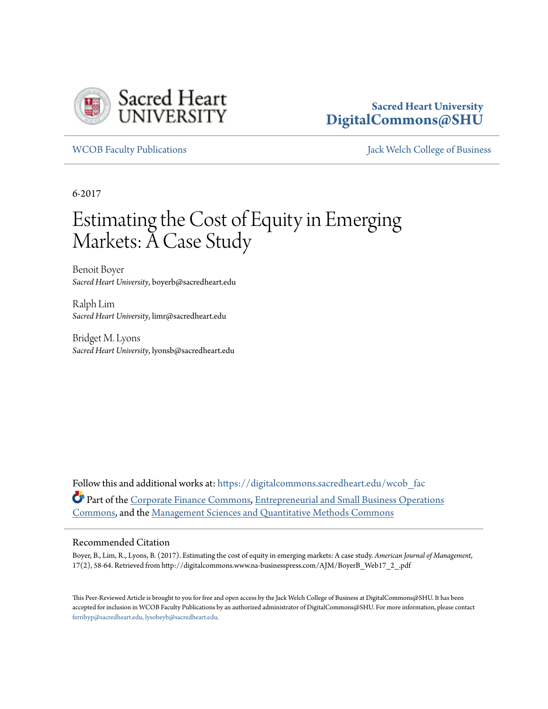

# **Sacred Heart University [DigitalCommons@SHU](https://digitalcommons.sacredheart.edu?utm_source=digitalcommons.sacredheart.edu%2Fwcob_fac%2F443&utm_medium=PDF&utm_campaign=PDFCoverPages)**

[WCOB Faculty Publications](https://digitalcommons.sacredheart.edu/wcob_fac?utm_source=digitalcommons.sacredheart.edu%2Fwcob_fac%2F443&utm_medium=PDF&utm_campaign=PDFCoverPages) [Jack Welch College of Business](https://digitalcommons.sacredheart.edu/wcob?utm_source=digitalcommons.sacredheart.edu%2Fwcob_fac%2F443&utm_medium=PDF&utm_campaign=PDFCoverPages)

6-2017

# Estimating the Cost of Equity in Emerging Markets: A Case Study

Benoit Boyer *Sacred Heart University*, boyerb@sacredheart.edu

Ralph Lim *Sacred Heart University*, limr@sacredheart.edu

Bridget M. Lyons *Sacred Heart University*, lyonsb@sacredheart.edu

Follow this and additional works at: [https://digitalcommons.sacredheart.edu/wcob\\_fac](https://digitalcommons.sacredheart.edu/wcob_fac?utm_source=digitalcommons.sacredheart.edu%2Fwcob_fac%2F443&utm_medium=PDF&utm_campaign=PDFCoverPages) Part of the [Corporate Finance Commons](http://network.bepress.com/hgg/discipline/629?utm_source=digitalcommons.sacredheart.edu%2Fwcob_fac%2F443&utm_medium=PDF&utm_campaign=PDFCoverPages), [Entrepreneurial and Small Business Operations](http://network.bepress.com/hgg/discipline/630?utm_source=digitalcommons.sacredheart.edu%2Fwcob_fac%2F443&utm_medium=PDF&utm_campaign=PDFCoverPages) [Commons,](http://network.bepress.com/hgg/discipline/630?utm_source=digitalcommons.sacredheart.edu%2Fwcob_fac%2F443&utm_medium=PDF&utm_campaign=PDFCoverPages) and the [Management Sciences and Quantitative Methods Commons](http://network.bepress.com/hgg/discipline/637?utm_source=digitalcommons.sacredheart.edu%2Fwcob_fac%2F443&utm_medium=PDF&utm_campaign=PDFCoverPages)

#### Recommended Citation

Boyer, B., Lim, R., Lyons, B. (2017). Estimating the cost of equity in emerging markets: A case study. *American Journal of Management*, 17(2), 58-64. Retrieved from http://digitalcommons.www.na-businesspress.com/AJM/BoyerB\_Web17\_2\_.pdf

This Peer-Reviewed Article is brought to you for free and open access by the Jack Welch College of Business at DigitalCommons@SHU. It has been accepted for inclusion in WCOB Faculty Publications by an authorized administrator of DigitalCommons@SHU. For more information, please contact [ferribyp@sacredheart.edu, lysobeyb@sacredheart.edu.](mailto:ferribyp@sacredheart.edu,%20lysobeyb@sacredheart.edu)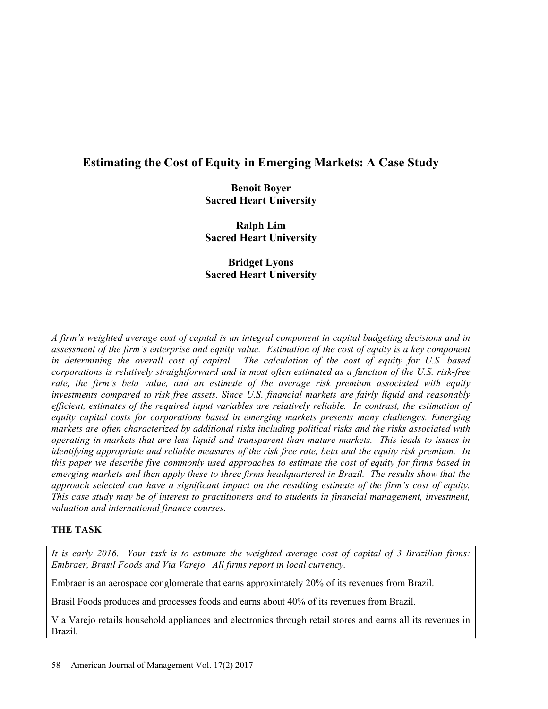# Estimating the Cost of Equity in Emerging Markets: A Case Study

Benoit Boyer Sacred Heart University

Ralph Lim Sacred Heart University

Bridget Lyons Sacred Heart University

A firm's weighted average cost of capital is an integral component in capital budgeting decisions and in assessment of the firm's enterprise and equity value. Estimation of the cost of equity is a key component in determining the overall cost of capital. The calculation of the cost of equity for U.S. based corporations is relatively straightforward and is most often estimated as a function of the U.S. risk-free rate, the firm's beta value, and an estimate of the average risk premium associated with equity investments compared to risk free assets. Since U.S. financial markets are fairly liquid and reasonably efficient, estimates of the required input variables are relatively reliable. In contrast, the estimation of equity capital costs for corporations based in emerging markets presents many challenges. Emerging markets are often characterized by additional risks including political risks and the risks associated with operating in markets that are less liquid and transparent than mature markets. This leads to issues in identifying appropriate and reliable measures of the risk free rate, beta and the equity risk premium. In this paper we describe five commonly used approaches to estimate the cost of equity for firms based in emerging markets and then apply these to three firms headquartered in Brazil. The results show that the approach selected can have a significant impact on the resulting estimate of the firm's cost of equity. This case study may be of interest to practitioners and to students in financial management, investment, valuation and international finance courses.

# THE TASK

It is early 2016. Your task is to estimate the weighted average cost of capital of 3 Brazilian firms: Embraer, Brasil Foods and Via Varejo. All firms report in local currency.

Embraer is an aerospace conglomerate that earns approximately 20% of its revenues from Brazil.

Brasil Foods produces and processes foods and earns about 40% of its revenues from Brazil.

Via Varejo retails household appliances and electronics through retail stores and earns all its revenues in Brazil.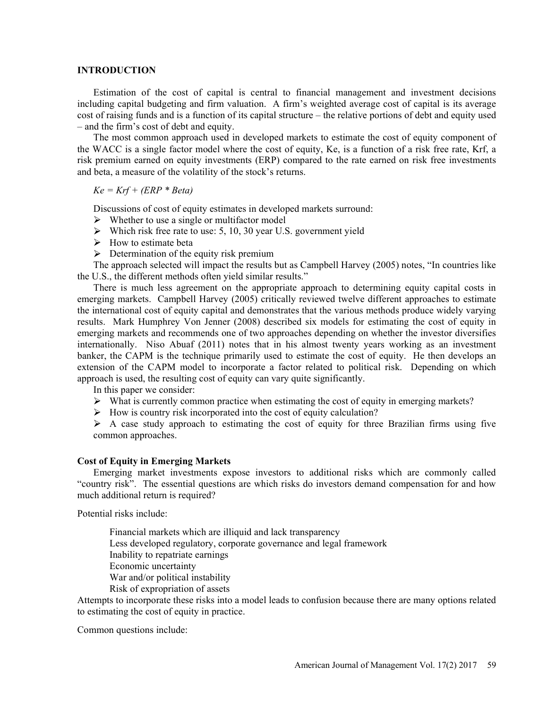#### INTRODUCTION

Estimation of the cost of capital is central to financial management and investment decisions including capital budgeting and firm valuation. A firm's weighted average cost of capital is its average cost of raising funds and is a function of its capital structure – the relative portions of debt and equity used - and the firm's cost of debt and equity.

The most common approach used in developed markets to estimate the cost of equity component of the WACC is a single factor model where the cost of equity, Ke, is a function of a risk free rate, Krf, a risk premium earned on equity investments (ERP) compared to the rate earned on risk free investments and beta, a measure of the volatility of the stock's returns.

 $Ke = Krf + (ERP * Beta)$ 

Discussions of cost of equity estimates in developed markets surround:

- $\triangleright$  Whether to use a single or multifactor model
- $\triangleright$  Which risk free rate to use: 5, 10, 30 year U.S. government yield
- $\triangleright$  How to estimate beta
- $\triangleright$  Determination of the equity risk premium

The approach selected will impact the results but as Campbell Harvey (2005) notes, "In countries like the U.S., the different methods often yield similar results.

There is much less agreement on the appropriate approach to determining equity capital costs in emerging markets. Campbell Harvey (2005) critically reviewed twelve different approaches to estimate the international cost of equity capital and demonstrates that the various methods produce widely varying results. Mark Humphrey Von Jenner (2008) described six models for estimating the cost of equity in emerging markets and recommends one of two approaches depending on whether the investor diversifies internationally. Niso Abuaf (2011) notes that in his almost twenty years working as an investment banker, the CAPM is the technique primarily used to estimate the cost of equity. He then develops an extension of the CAPM model to incorporate a factor related to political risk. Depending on which approach is used, the resulting cost of equity can vary quite significantly.

In this paper we consider:

- $\triangleright$  What is currently common practice when estimating the cost of equity in emerging markets?
- $\triangleright$  How is country risk incorporated into the cost of equity calculation?
- $\triangleright$  A case study approach to estimating the cost of equity for three Brazilian firms using five common approaches.

#### Cost of Equity in Emerging Markets

Emerging market investments expose investors to additional risks which are commonly called "country risk". The essential questions are which risks do investors demand compensation for and how much additional return is required?

Potential risks include:

Financial markets which are illiquid and lack transparency Less developed regulatory, corporate governance and legal framework Inability to repatriate earnings Economic uncertainty War and/or political instability Risk of expropriation of assets

Attempts to incorporate these risks into a model leads to confusion because there are many options related to estimating the cost of equity in practice.

Common questions include: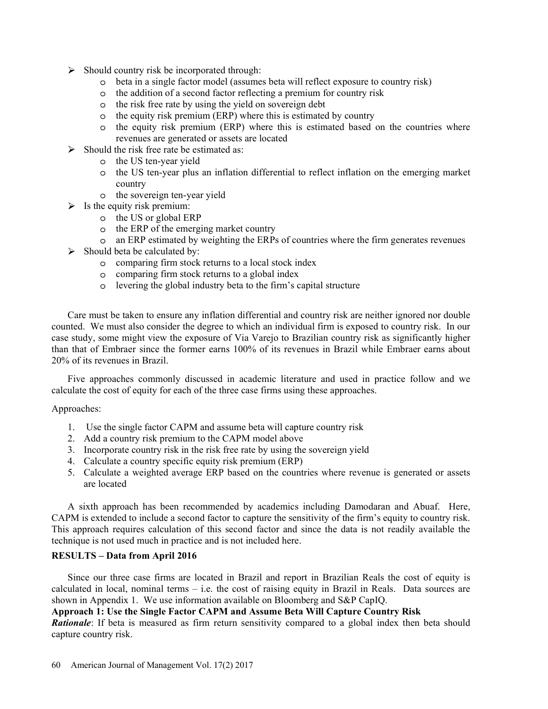- $\triangleright$  Should country risk be incorporated through:
	- beta in a single factor model (assumes beta will reflect exposure to country risk)
	- the addition of a second factor reflecting a premium for country risk
	- the risk free rate by using the yield on sovereign debt
	- $\circ$  the equity risk premium (ERP) where this is estimated by country
	- $\circ$  the equity risk premium (ERP) where this is estimated based on the countries where revenues are generated or assets are located
- $\triangleright$  Should the risk free rate be estimated as:
	- the US ten-year yield
	- the US ten-year plus an inflation differential to reflect inflation on the emerging market country
	- o the sovereign ten-year yield
- $\triangleright$  Is the equity risk premium:
	- the US or global ERP
	- $\circ$  the ERP of the emerging market country
	- an ERP estimated by weighting the ERPs of countries where the firm generates revenues
- $\triangleright$  Should beta be calculated by:
	- comparing firm stock returns to a local stock index
	- comparing firm stock returns to a global index
	- $\circ$  levering the global industry beta to the firm's capital structure

Care must be taken to ensure any inflation differential and country risk are neither ignored nor double counted. We must also consider the degree to which an individual firm is exposed to country risk. In our case study, some might view the exposure of Via Varejo to Brazilian country risk as significantly higher than that of Embraer since the former earns 100% of its revenues in Brazil while Embraer earns about 20% of its revenues in Brazil.

Five approaches commonly discussed in academic literature and used in practice follow and we calculate the cost of equity for each of the three case firms using these approaches.

#### Approaches:

- 1. Use the single factor CAPM and assume beta will capture country risk
- 2. Add a country risk premium to the CAPM model above
- 3. Incorporate country risk in the risk free rate by using the sovereign yield
- 4. Calculate a country specific equity risk premium (ERP)
- 5. Calculate a weighted average ERP based on the countries where revenue is generated or assets are located

A sixth approach has been recommended by academics including Damodaran and Abuaf. Here, CAPM is extended to include a second factor to capture the sensitivity of the firm's equity to country risk. This approach requires calculation of this second factor and since the data is not readily available the technique is not used much in practice and is not included here.

#### RESULTS - Data from April 2016

Since our three case firms are located in Brazil and report in Brazilian Reals the cost of equity is calculated in local, nominal terms  $-$  i.e. the cost of raising equity in Brazil in Reals. Data sources are shown in Appendix 1. We use information available on Bloomberg and S&P CapIQ.

## Approach 1: Use the Single Factor CAPM and Assume Beta Will Capture Country Risk

**Rationale**: If beta is measured as firm return sensitivity compared to a global index then beta should capture country risk.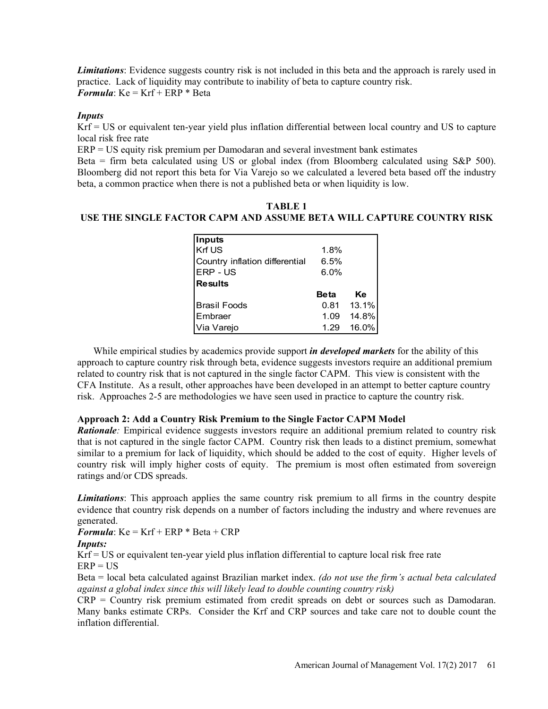Limitations: Evidence suggests country risk is not included in this beta and the approach is rarely used in practice. Lack of liquidity may contribute to inability of beta to capture country risk. **Formula:**  $Ke = Krf + ERP * Beta$ 

### Inputs

Krf = US or equivalent ten-year yield plus inflation differential between local country and US to capture local risk free rate

ERP = US equity risk premium per Damodaran and several investment bank estimates

Beta = firm beta calculated using US or global index (from Bloomberg calculated using S&P 500). Bloomberg did not report this beta for Via Varejo so we calculated a levered beta based off the industry beta, a common practice when there is not a published beta or when liquidity is low.

# TABLE 1 USE THE SINGLE FACTOR CAPM AND ASSUME BETA WILL CAPTURE COUNTRY RISK

| sts country risk is not included in this beta and the approach is rarely used in<br>ay contribute to inability of beta to capture country risk.<br>Beta |              |                |
|---------------------------------------------------------------------------------------------------------------------------------------------------------|--------------|----------------|
| ear yield plus inflation differential between local country and US to capture                                                                           |              |                |
| l using US or global index (from Bloomberg calculated using S&P 500).<br>is beta for Via Varejo so we calculated a levered beta based off the industry  |              |                |
| en there is not a published beta or when liquidity is low.<br><b>TABLE 1</b><br>OR CAPM AND ASSUME BETA WILL CAPTURE COUNTRY RISK                       |              |                |
| Inputs                                                                                                                                                  |              |                |
| Krf US<br>Country inflation differential                                                                                                                | 1.8%<br>6.5% |                |
| ERP - US                                                                                                                                                | 6.0%         |                |
| <b>Results</b>                                                                                                                                          |              |                |
|                                                                                                                                                         | <b>Beta</b>  | Ke             |
| <b>Brasil Foods</b><br>Embraer                                                                                                                          | 0.81<br>1.09 | 13.1%<br>14.8% |

While empirical studies by academics provide support *in developed markets* for the ability of this approach to capture country risk through beta, evidence suggests investors require an additional premium related to country risk that is not captured in the single factor CAPM. This view is consistent with the CFA Institute. As a result, other approaches have been developed in an attempt to better capture country risk. Approaches 2-5 are methodologies we have seen used in practice to capture the country risk.

## Approach 2: Add a Country Risk Premium to the Single Factor CAPM Model

**Rationale**: Empirical evidence suggests investors require an additional premium related to country risk that is not captured in the single factor CAPM. Country risk then leads to a distinct premium, somewhat similar to a premium for lack of liquidity, which should be added to the cost of equity. Higher levels of country risk will imply higher costs of equity. The premium is most often estimated from sovereign ratings and/or CDS spreads.

**Limitations**: This approach applies the same country risk premium to all firms in the country despite evidence that country risk depends on a number of factors including the industry and where revenues are generated.

**Formula:**  $Ke = Krf + ERP * Beta + CRP$ 

#### Inputs:

Krf = US or equivalent ten-year yield plus inflation differential to capture local risk free rate

 $ERP = US$ 

Beta = local beta calculated against Brazilian market index. (do not use the firm's actual beta calculated against a global index since this will likely lead to double counting country risk)

CRP = Country risk premium estimated from credit spreads on debt or sources such as Damodaran. Many banks estimate CRPs. Consider the Krf and CRP sources and take care not to double count the inflation differential.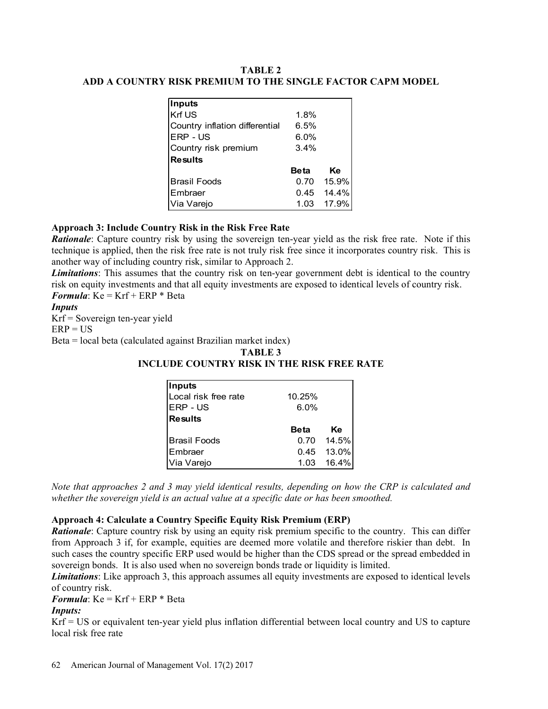# TABLE 2 ADD A COUNTRY RISK PREMIUM TO THE SINGLE FACTOR CAPM MODEL

| <b>TABLE 2</b>                               |             |       |
|----------------------------------------------|-------------|-------|
|                                              |             |       |
|                                              |             |       |
| RISK PREMIUM TO THE SINGLE FACTOR CAPM MODEL |             |       |
|                                              |             |       |
|                                              |             |       |
|                                              |             |       |
|                                              |             |       |
|                                              |             |       |
|                                              |             |       |
|                                              |             |       |
|                                              |             |       |
|                                              |             |       |
|                                              |             |       |
| <b>Inputs</b>                                |             |       |
| Krf US                                       | 1.8%        |       |
| Country inflation differential               | 6.5%        |       |
|                                              | 6.0%        |       |
| ERP - US                                     |             |       |
|                                              | 3.4%        |       |
| Country risk premium<br><b>Results</b>       |             |       |
|                                              | <b>Beta</b> | Ke    |
| <b>Brasil Foods</b>                          | 0.70        | 15.9% |
| Embraer                                      | 0.45        | 14.4% |

# Approach 3: Include Country Risk in the Risk Free Rate

**Rationale**: Capture country risk by using the sovereign ten-year yield as the risk free rate. Note if this technique is applied, then the risk free rate is not truly risk free since it incorporates country risk. This is another way of including country risk, similar to Approach 2.

**Limitations**: This assumes that the country risk on ten-year government debt is identical to the country risk on equity investments and that all equity investments are exposed to identical levels of country risk. **Formula:**  $Ke = Krf + ERP * Beta$ 

# **Inputs**

Krf = Sovereign ten-year yield

### $ERP = US$

Beta = local beta (calculated against Brazilian market index)

### TABLE 3

# INCLUDE COUNTRY RISK IN THE RISK FREE RATE

|                                                                                     | <b>Beta</b>  | Ke             |
|-------------------------------------------------------------------------------------|--------------|----------------|
|                                                                                     |              |                |
| <b>Brasil Foods</b>                                                                 | 0.70         | 15.9%          |
| Embraer                                                                             | 0.45         | 14.4%          |
| Via Varejo                                                                          | 1.03         | 17.9%          |
|                                                                                     |              |                |
| try Risk in the Risk Free Rate                                                      |              |                |
| risk by using the sovereign ten-year yield as the risk free rate. Note if this      |              |                |
| e risk free rate is not truly risk free since it incorporates country risk. This is |              |                |
| untry risk, similar to Approach 2.                                                  |              |                |
| hat the country risk on ten-year government debt is identical to the country        |              |                |
| nd that all equity investments are exposed to identical levels of country risk.     |              |                |
| Beta                                                                                |              |                |
|                                                                                     |              |                |
|                                                                                     |              |                |
| ld                                                                                  |              |                |
|                                                                                     |              |                |
| against Brazilian market index)                                                     |              |                |
| <b>TABLE 3</b>                                                                      |              |                |
| UDE COUNTRY RISK IN THE RISK FREE RATE                                              |              |                |
|                                                                                     |              |                |
| Inputs                                                                              |              |                |
| Local risk free rate                                                                | 10.25%       |                |
| ERP - US                                                                            | 6.0%         |                |
| <b>Results</b>                                                                      |              |                |
|                                                                                     | <b>Beta</b>  | Ke             |
| <b>Brasil Foods</b>                                                                 | 0.70         | 14.5%          |
| Embraer<br>Via Varejo                                                               | 0.45<br>1.03 | 13.0%<br>16.4% |

Note that approaches 2 and 3 may yield identical results, depending on how the CRP is calculated and whether the sovereign yield is an actual value at a specific date or has been smoothed.

# Approach 4: Calculate a Country Specific Equity Risk Premium (ERP)

**Rationale:** Capture country risk by using an equity risk premium specific to the country. This can differ from Approach 3 if, for example, equities are deemed more volatile and therefore riskier than debt. In such cases the country specific ERP used would be higher than the CDS spread or the spread embedded in sovereign bonds. It is also used when no sovereign bonds trade or liquidity is limited.

Limitations: Like approach 3, this approach assumes all equity investments are exposed to identical levels of country risk.

**Formula:**  $Ke = Krf + ERP * Beta$ 

# Inputs:

Krf = US or equivalent ten-year yield plus inflation differential between local country and US to capture local risk free rate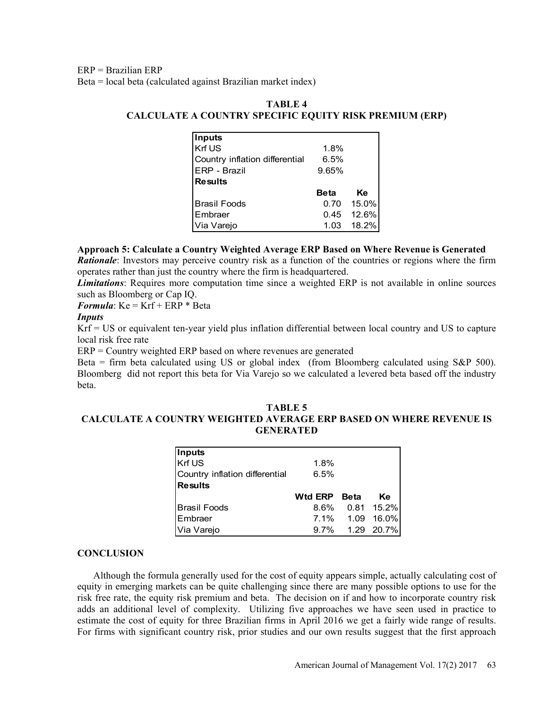ERP = Brazilian ERP

Beta = local beta (calculated against Brazilian market index)

# TABLE 4 CALCULATE A COUNTRY SPECIFIC EQUITY RISK PREMIUM (ERP)

| against Brazilian market index)              |             |       |
|----------------------------------------------|-------------|-------|
|                                              |             |       |
|                                              |             |       |
| <b>TABLE 4</b>                               |             |       |
| A COUNTRY SPECIFIC EQUITY RISK PREMIUM (ERP) |             |       |
|                                              |             |       |
| <b>Inputs</b><br>Krf US                      | 1.8%        |       |
| Country inflation differential               | 6.5%        |       |
| ERP - Brazil                                 | 9.65%       |       |
| <b>Results</b>                               |             |       |
|                                              | <b>Beta</b> | Ke    |
| <b>Brasil Foods</b>                          | 0.70        | 15.0% |
| Embraer                                      | 0.45        | 12.6% |

### Approach 5: Calculate a Country Weighted Average ERP Based on Where Revenue is Generated

Rationale: Investors may perceive country risk as a function of the countries or regions where the firm operates rather than just the country where the firm is headquartered.

**Limitations**: Requires more computation time since a weighted ERP is not available in online sources such as Bloomberg or Cap IQ.

**Formula:**  $Ke = Krf + ERP * Beta$ 

#### **Inputs**

Krf = US or equivalent ten-year yield plus inflation differential between local country and US to capture local risk free rate

ERP = Country weighted ERP based on where revenues are generated

Beta = firm beta calculated using US or global index (from Bloomberg calculated using S&P 500). Bloomberg did not report this beta for Via Varejo so we calculated a levered beta based off the industry beta.

# TABLE 5 CALCULATE A COUNTRY WEIGHTED AVERAGE ERP BASED ON WHERE REVENUE IS **GENERATED**

| ty perceive country risk as a function of the countries or regions where the firm<br>the country where the firm is headquartered.<br>nore computation time since a weighted ERP is not available in online sources<br>ap IQ.<br>RP * Beta |                |             |                     |  |  |
|-------------------------------------------------------------------------------------------------------------------------------------------------------------------------------------------------------------------------------------------|----------------|-------------|---------------------|--|--|
| ten-year yield plus inflation differential between local country and US to capture                                                                                                                                                        |                |             |                     |  |  |
| d ERP based on where revenues are generated<br>lated using US or global index (from Bloomberg calculated using S&P 500).<br>ort this beta for Via Varejo so we calculated a levered beta based off the industry                           |                |             |                     |  |  |
| <b>TABLE 5</b><br>UNTRY WEIGHTED AVERAGE ERP BASED ON WHERE REVENUE IS<br><b>GENERATED</b>                                                                                                                                                |                |             |                     |  |  |
| Inputs                                                                                                                                                                                                                                    |                |             |                     |  |  |
| Krf US                                                                                                                                                                                                                                    | 1.8%           |             |                     |  |  |
| Country inflation differential                                                                                                                                                                                                            | 6.5%           |             |                     |  |  |
| <b>Results</b>                                                                                                                                                                                                                            |                |             |                     |  |  |
|                                                                                                                                                                                                                                           | <b>Wtd ERP</b> | <b>Beta</b> | Ke                  |  |  |
| <b>Brasil Foods</b>                                                                                                                                                                                                                       | 8.6%           | 0.81        | 15.2%               |  |  |
| Embraer<br>Via Varejo                                                                                                                                                                                                                     | 7.1%<br>9.7%   | 1.09        | 16.0%<br>1.29 20.7% |  |  |

# **CONCLUSION**

Although the formula generally used for the cost of equity appears simple, actually calculating cost of equity in emerging markets can be quite challenging since there are many possible options to use for the risk free rate, the equity risk premium and beta. The decision on if and how to incorporate country risk adds an additional level of complexity. Utilizing five approaches we have seen used in practice to estimate the cost of equity for three Brazilian firms in April 2016 we get a fairly wide range of results. For firms with significant country risk, prior studies and our own results suggest that the first approach